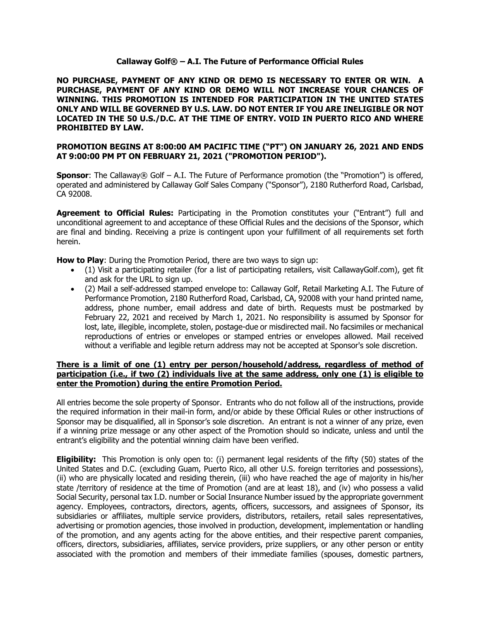## **Callaway Golf® – A.I. The Future of Performance Official Rules**

**NO PURCHASE, PAYMENT OF ANY KIND OR DEMO IS NECESSARY TO ENTER OR WIN. A PURCHASE, PAYMENT OF ANY KIND OR DEMO WILL NOT INCREASE YOUR CHANCES OF WINNING. THIS PROMOTION IS INTENDED FOR PARTICIPATION IN THE UNITED STATES ONLY AND WILL BE GOVERNED BY U.S. LAW. DO NOT ENTER IF YOU ARE INELIGIBLE OR NOT LOCATED IN THE 50 U.S./D.C. AT THE TIME OF ENTRY. VOID IN PUERTO RICO AND WHERE PROHIBITED BY LAW.**

## **PROMOTION BEGINS AT 8:00:00 AM PACIFIC TIME ("PT") ON JANUARY 26, 2021 AND ENDS AT 9:00:00 PM PT ON FEBRUARY 21, 2021 ("PROMOTION PERIOD").**

**Sponsor:** The Callaway® Golf – A.I. The Future of Performance promotion (the "Promotion") is offered, operated and administered by Callaway Golf Sales Company ("Sponsor"), 2180 Rutherford Road, Carlsbad, CA 92008.

**Agreement to Official Rules:** Participating in the Promotion constitutes your ("Entrant") full and unconditional agreement to and acceptance of these Official Rules and the decisions of the Sponsor, which are final and binding. Receiving a prize is contingent upon your fulfillment of all requirements set forth herein.

**How to Play**: During the Promotion Period, there are two ways to sign up:

- (1) Visit a participating retailer (for a list of participating retailers, visit CallawayGolf.com), get fit and ask for the URL to sign up.
- (2) Mail a self-addressed stamped envelope to: Callaway Golf, Retail Marketing A.I. The Future of Performance Promotion, 2180 Rutherford Road, Carlsbad, CA, 92008 with your hand printed name, address, phone number, email address and date of birth. Requests must be postmarked by February 22, 2021 and received by March 1, 2021. No responsibility is assumed by Sponsor for lost, late, illegible, incomplete, stolen, postage-due or misdirected mail. No facsimiles or mechanical reproductions of entries or envelopes or stamped entries or envelopes allowed. Mail received without a verifiable and legible return address may not be accepted at Sponsor's sole discretion.

## **There is a limit of one (1) entry per person/household/address, regardless of method of participation (i.e., if two (2) individuals live at the same address, only one (1) is eligible to enter the Promotion) during the entire Promotion Period.**

All entries become the sole property of Sponsor. Entrants who do not follow all of the instructions, provide the required information in their mail-in form, and/or abide by these Official Rules or other instructions of Sponsor may be disqualified, all in Sponsor's sole discretion. An entrant is not a winner of any prize, even if a winning prize message or any other aspect of the Promotion should so indicate, unless and until the entrant's eligibility and the potential winning claim have been verified.

**Eligibility:** This Promotion is only open to: (i) permanent legal residents of the fifty (50) states of the United States and D.C. (excluding Guam, Puerto Rico, all other U.S. foreign territories and possessions), (ii) who are physically located and residing therein, (iii) who have reached the age of majority in his/her state /territory of residence at the time of Promotion (and are at least 18), and (iv) who possess a valid Social Security, personal tax I.D. number or Social Insurance Number issued by the appropriate government agency. Employees, contractors, directors, agents, officers, successors, and assignees of Sponsor, its subsidiaries or affiliates, multiple service providers, distributors, retailers, retail sales representatives, advertising or promotion agencies, those involved in production, development, implementation or handling of the promotion, and any agents acting for the above entities, and their respective parent companies, officers, directors, subsidiaries, affiliates, service providers, prize suppliers, or any other person or entity associated with the promotion and members of their immediate families (spouses, domestic partners,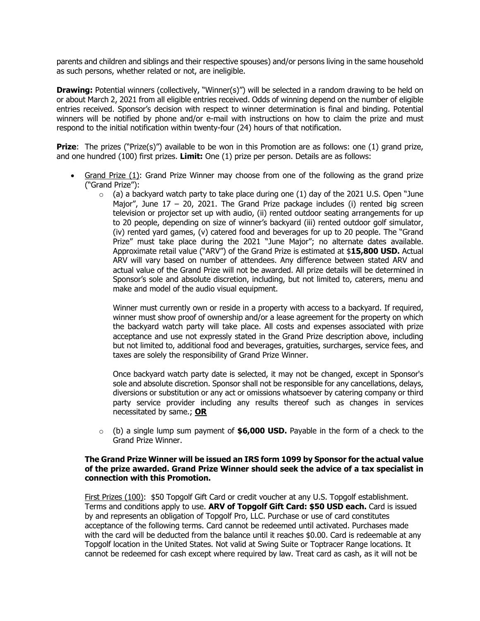parents and children and siblings and their respective spouses) and/or persons living in the same household as such persons, whether related or not, are ineligible.

**Drawing:** Potential winners (collectively, "Winner(s)") will be selected in a random drawing to be held on or about March 2, 2021 from all eligible entries received. Odds of winning depend on the number of eligible entries received. Sponsor's decision with respect to winner determination is final and binding. Potential winners will be notified by phone and/or e-mail with instructions on how to claim the prize and must respond to the initial notification within twenty-four (24) hours of that notification.

**Prize:** The prizes ("Prize(s)") available to be won in this Promotion are as follows: one (1) grand prize, and one hundred (100) first prizes. **Limit:** One (1) prize per person. Details are as follows:

- Grand Prize (1): Grand Prize Winner may choose from one of the following as the grand prize ("Grand Prize"):
	- $\circ$  (a) a backyard watch party to take place during one (1) day of the 2021 U.S. Open "June Major", June  $17 - 20$ , 2021. The Grand Prize package includes (i) rented big screen television or projector set up with audio, (ii) rented outdoor seating arrangements for up to 20 people, depending on size of winner's backyard (iii) rented outdoor golf simulator, (iv) rented yard games, (v) catered food and beverages for up to 20 people. The "Grand Prize" must take place during the 2021 "June Major"; no alternate dates available. Approximate retail value ("ARV") of the Grand Prize is estimated at \$**15,800 USD.** Actual ARV will vary based on number of attendees. Any difference between stated ARV and actual value of the Grand Prize will not be awarded. All prize details will be determined in Sponsor's sole and absolute discretion, including, but not limited to, caterers, menu and make and model of the audio visual equipment.

Winner must currently own or reside in a property with access to a backyard. If required, winner must show proof of ownership and/or a lease agreement for the property on which the backyard watch party will take place. All costs and expenses associated with prize acceptance and use not expressly stated in the Grand Prize description above, including but not limited to, additional food and beverages, gratuities, surcharges, service fees, and taxes are solely the responsibility of Grand Prize Winner.

Once backyard watch party date is selected, it may not be changed, except in Sponsor's sole and absolute discretion. Sponsor shall not be responsible for any cancellations, delays, diversions or substitution or any act or omissions whatsoever by catering company or third party service provider including any results thereof such as changes in services necessitated by same.; **OR**

o (b) a single lump sum payment of **\$6,000 USD.** Payable in the form of a check to the Grand Prize Winner.

## **The Grand Prize Winner will be issued an IRS form 1099 by Sponsor for the actual value of the prize awarded. Grand Prize Winner should seek the advice of a tax specialist in connection with this Promotion.**

First Prizes (100): \$50 Topgolf Gift Card or credit voucher at any U.S. Topgolf establishment. Terms and conditions apply to use. **ARV of Topgolf Gift Card: \$50 USD each.** Card is issued by and represents an obligation of Topgolf Pro, LLC. Purchase or use of card constitutes acceptance of the following terms. Card cannot be redeemed until activated. Purchases made with the card will be deducted from the balance until it reaches \$0.00. Card is redeemable at any Topgolf location in the United States. Not valid at Swing Suite or Toptracer Range locations. It cannot be redeemed for cash except where required by law. Treat card as cash, as it will not be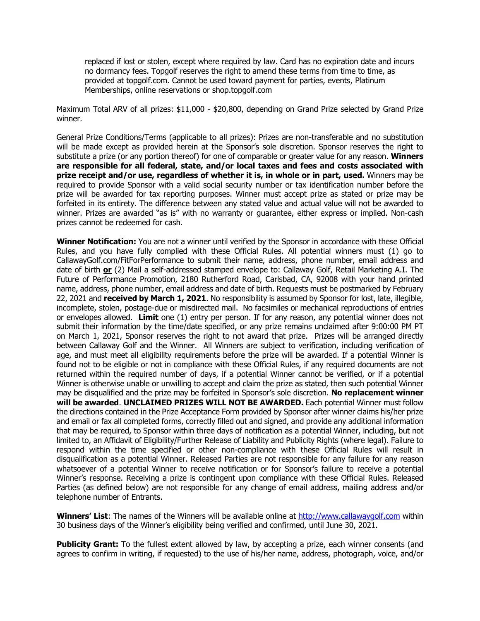replaced if lost or stolen, except where required by law. Card has no expiration date and incurs no dormancy fees. Topgolf reserves the right to amend these terms from time to time, as provided at topgolf.com. Cannot be used toward payment for parties, events, Platinum Memberships, online reservations or shop.topgolf.com

Maximum Total ARV of all prizes: \$11,000 - \$20,800, depending on Grand Prize selected by Grand Prize winner.

General Prize Conditions/Terms (applicable to all prizes): Prizes are non-transferable and no substitution will be made except as provided herein at the Sponsor's sole discretion. Sponsor reserves the right to substitute a prize (or any portion thereof) for one of comparable or greater value for any reason. **Winners are responsible for all federal, state, and/or local taxes and fees and costs associated with prize receipt and/or use, regardless of whether it is, in whole or in part, used.** Winners may be required to provide Sponsor with a valid social security number or tax identification number before the prize will be awarded for tax reporting purposes. Winner must accept prize as stated or prize may be forfeited in its entirety. The difference between any stated value and actual value will not be awarded to winner. Prizes are awarded "as is" with no warranty or guarantee, either express or implied. Non-cash prizes cannot be redeemed for cash.

**Winner Notification:** You are not a winner until verified by the Sponsor in accordance with these Official Rules, and you have fully complied with these Official Rules. All potential winners must (1) go to CallawayGolf.com/FitForPerformance to submit their name, address, phone number, email address and date of birth **or** (2) Mail a self-addressed stamped envelope to: Callaway Golf, Retail Marketing A.I. The Future of Performance Promotion, 2180 Rutherford Road, Carlsbad, CA, 92008 with your hand printed name, address, phone number, email address and date of birth. Requests must be postmarked by February 22, 2021 and **received by March 1, 2021**. No responsibility is assumed by Sponsor for lost, late, illegible, incomplete, stolen, postage-due or misdirected mail. No facsimiles or mechanical reproductions of entries or envelopes allowed. **Limit** one (1) entry per person. If for any reason, any potential winner does not submit their information by the time/date specified, or any prize remains unclaimed after 9:00:00 PM PT on March 1, 2021, Sponsor reserves the right to not award that prize. Prizes will be arranged directly between Callaway Golf and the Winner. All Winners are subject to verification, including verification of age, and must meet all eligibility requirements before the prize will be awarded. If a potential Winner is found not to be eligible or not in compliance with these Official Rules, if any required documents are not returned within the required number of days, if a potential Winner cannot be verified, or if a potential Winner is otherwise unable or unwilling to accept and claim the prize as stated, then such potential Winner may be disqualified and the prize may be forfeited in Sponsor's sole discretion. **No replacement winner will be awarded**. **UNCLAIMED PRIZES WILL NOT BE AWARDED.** Each potential Winner must follow the directions contained in the Prize Acceptance Form provided by Sponsor after winner claims his/her prize and email or fax all completed forms, correctly filled out and signed, and provide any additional information that may be required, to Sponsor within three days of notification as a potential Winner, including, but not limited to, an Affidavit of Eligibility/Further Release of Liability and Publicity Rights (where legal). Failure to respond within the time specified or other non-compliance with these Official Rules will result in disqualification as a potential Winner. Released Parties are not responsible for any failure for any reason whatsoever of a potential Winner to receive notification or for Sponsor's failure to receive a potential Winner's response. Receiving a prize is contingent upon compliance with these Official Rules. Released Parties (as defined below) are not responsible for any change of email address, mailing address and/or telephone number of Entrants.

**Winners' List**: The names of the Winners will be available online at http://www.callawaygolf.com within 30 business days of the Winner's eligibility being verified and confirmed, until June 30, 2021.

**Publicity Grant:** To the fullest extent allowed by law, by accepting a prize, each winner consents (and agrees to confirm in writing, if requested) to the use of his/her name, address, photograph, voice, and/or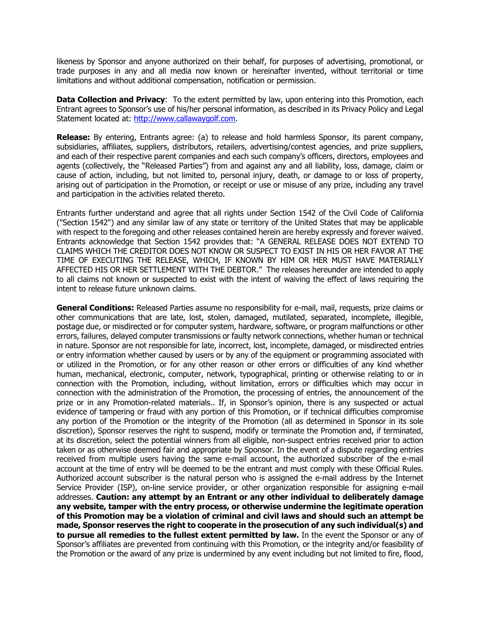likeness by Sponsor and anyone authorized on their behalf, for purposes of advertising, promotional, or trade purposes in any and all media now known or hereinafter invented, without territorial or time limitations and without additional compensation, notification or permission.

**Data Collection and Privacy**: To the extent permitted by law, upon entering into this Promotion, each Entrant agrees to Sponsor's use of his/her personal information, as described in its Privacy Policy and Legal Statement located at: http://www.callawaygolf.com.

**Release:** By entering, Entrants agree: (a) to release and hold harmless Sponsor, its parent company, subsidiaries, affiliates, suppliers, distributors, retailers, advertising/contest agencies, and prize suppliers, and each of their respective parent companies and each such company's officers, directors, employees and agents (collectively, the "Released Parties") from and against any and all liability, loss, damage, claim or cause of action, including, but not limited to, personal injury, death, or damage to or loss of property, arising out of participation in the Promotion, or receipt or use or misuse of any prize, including any travel and participation in the activities related thereto.

Entrants further understand and agree that all rights under Section 1542 of the Civil Code of California ("Section 1542") and any similar law of any state or territory of the United States that may be applicable with respect to the foregoing and other releases contained herein are hereby expressly and forever waived. Entrants acknowledge that Section 1542 provides that: "A GENERAL RELEASE DOES NOT EXTEND TO CLAIMS WHICH THE CREDITOR DOES NOT KNOW OR SUSPECT TO EXIST IN HIS OR HER FAVOR AT THE TIME OF EXECUTING THE RELEASE, WHICH, IF KNOWN BY HIM OR HER MUST HAVE MATERIALLY AFFECTED HIS OR HER SETTLEMENT WITH THE DEBTOR." The releases hereunder are intended to apply to all claims not known or suspected to exist with the intent of waiving the effect of laws requiring the intent to release future unknown claims.

**General Conditions:** Released Parties assume no responsibility for e-mail, mail, requests, prize claims or other communications that are late, lost, stolen, damaged, mutilated, separated, incomplete, illegible, postage due, or misdirected or for computer system, hardware, software, or program malfunctions or other errors, failures, delayed computer transmissions or faulty network connections, whether human or technical in nature. Sponsor are not responsible for late, incorrect, lost, incomplete, damaged, or misdirected entries or entry information whether caused by users or by any of the equipment or programming associated with or utilized in the Promotion, or for any other reason or other errors or difficulties of any kind whether human, mechanical, electronic, computer, network, typographical, printing or otherwise relating to or in connection with the Promotion, including, without limitation, errors or difficulties which may occur in connection with the administration of the Promotion, the processing of entries, the announcement of the prize or in any Promotion-related materials.. If, in Sponsor's opinion, there is any suspected or actual evidence of tampering or fraud with any portion of this Promotion, or if technical difficulties compromise any portion of the Promotion or the integrity of the Promotion (all as determined in Sponsor in its sole discretion), Sponsor reserves the right to suspend, modify or terminate the Promotion and, if terminated, at its discretion, select the potential winners from all eligible, non-suspect entries received prior to action taken or as otherwise deemed fair and appropriate by Sponsor. In the event of a dispute regarding entries received from multiple users having the same e-mail account, the authorized subscriber of the e-mail account at the time of entry will be deemed to be the entrant and must comply with these Official Rules. Authorized account subscriber is the natural person who is assigned the e-mail address by the Internet Service Provider (ISP), on-line service provider, or other organization responsible for assigning e-mail addresses. **Caution: any attempt by an Entrant or any other individual to deliberately damage any website, tamper with the entry process, or otherwise undermine the legitimate operation of this Promotion may be a violation of criminal and civil laws and should such an attempt be made, Sponsor reserves the right to cooperate in the prosecution of any such individual(s) and to pursue all remedies to the fullest extent permitted by law.** In the event the Sponsor or any of Sponsor's affiliates are prevented from continuing with this Promotion, or the integrity and/or feasibility of the Promotion or the award of any prize is undermined by any event including but not limited to fire, flood,